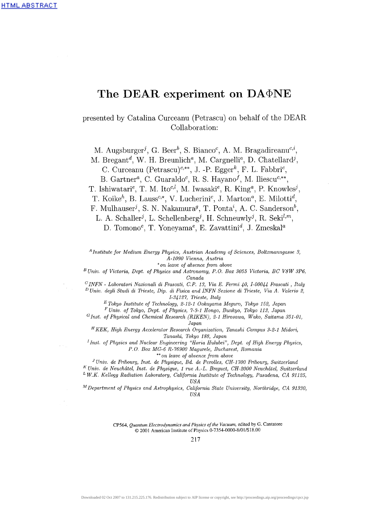# The DEAR experiment on DA $\Phi$ NE

presented by Catalina Curceanu (Petrascu) on behalf of the DEAR Collaboration:

M. Augsburger<sup>j</sup>, G. Beer<sup>b</sup>, S. Bianco<sup>c</sup>, A. M. Bragadireanu<sup>c,i</sup>, M. Bregant<sup>d</sup>, W. H. Breunlich<sup>a</sup>, M. Cargnelli<sup>a</sup>, D. Chatellard<sup>j</sup>, C. Curceanu (Petrascu)<sup>c,\*\*</sup>, J. -P. Egger<sup>k</sup>, F. L. Fabbri<sup>c</sup>,

B. Gartner<sup>a</sup>, C. Guaraldo<sup>c</sup>, R. S. Hayano<sup>f</sup>, M. Iliescu<sup>c,\*\*</sup>, T. Ishiwatari<sup>e</sup>, T. M. Ito<sup>c,*l*</sup>, M. Iwasaki<sup>e</sup>, R. King<sup>a</sup>, P. Knowles<sup>j</sup>, T. Koike<sup>h</sup>, B. Lauss<sup>c,\*</sup>, V. Lucherini<sup>c</sup>, J. Marton<sup>*a*</sup>, E. Milotti<sup>d</sup>, F. Mulhauser<sup>j</sup>, S. N. Nakamura<sup>g</sup>, T. Ponta<sup>i</sup>, A. C. Sanderson<sup>b</sup> L. A. Schaller<sup>j</sup>, L. Schellenberg<sup>j</sup>, H. Schneuwly<sup>j</sup>, R. Seki<sup>l,m</sup>, D. Tomono<sup>e</sup>, T. Yoneyama<sup>e</sup>, E. Zavattini<sup>d</sup>, J. Zmeskal<sup>a</sup>

*A Institute for Medium Energy Physics, Austrian Academy of Sciences, Boltzmanngasse 3, A-1090 Vienna, Austria*

*\* on leave of absence from above*

*<sup>B</sup>Univ. of Victoria, Dept. of Physics and Astronomy, P.O. Box 3055 Victoria, BC V8W 3P6, Canada*

*C INFN - Laboratori Nazionali di Frascati, C.P. 13, Via E. Fermi 40, 1-00044 Frascati , Italy*

*D Univ. degli Studi di Trieste, Dip. di Fisica and INFN Sezione di Trieste, Via A. Valerio 2, 1-34127, Trieste, Italy*

*E Tokyo Institute of Technology, 2-12-1 Ookayama Meguro, Tokyo 152, Japan*

*F Univ. of Tokyo, Dept. of Physics, 7-3-1 Hongo, Bunkyo, Tokyo 113, Japan*

*G Inst. of Physical and Chemical Research (RIKEN), 2-1 Hirosawa, Wako, Saitama 351-01, Japan*

*<sup>H</sup>KEK, High Energy Accelerator Research Organization, Tanashi Campus 3-2-1 Midori, Tanashi, Tokyo 188, Japan*

<sup>*I*</sup> Inst. of Physics and Nuclear Engineering "Horia Hulubei", Dept. of High Energy Physics, *P.O. Box MG-6 R-76900 Magurele, Bucharest, Romania*

\*\*on *leave of absence from above*

<sup>*J*</sup> Univ. de Fribourg, Inst. de Physique, Bd. de Perolles, CH-1700 Fribourg, Switzerland

*K Univ. de Neuchdtel, Inst. de Physique, 1 rue A.-L. Breguet, CH-2000 Neuchdtel, Switzerland <sup>L</sup>W.K. Kellogg Radiation Laboratory, California Institute of Technology, Pasadena, CA 91125, USA*

*<sup>M</sup>Department of Physics and Astrophysics, California State University, Northridge, CA 91330, USA*

> CP564, *Quantum Electrodynamics and Physics of the Vacuum,* edited by G. Cantatore © 2001 American Institute of Physics 0-7354-0000-8/01/\$18.00

> > 217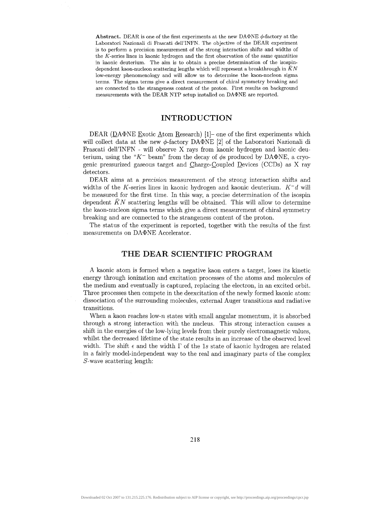**Abstract.** DEAR is one of the first experiments at the new DA $\Phi$ NE  $\phi$ -factory at the Laboratori Nazionali di Prascati dell'INFN. The objective of the DEAR experiment is to perform a precision measurement of the strong interaction shifts and widths of the  $K$ -series lines in kaonic hydrogen and the first observation of the same quantities in kaonic deuterium. The aim is to obtain a precise determination of the isospindependent kaon-nucleon scattering lengths which will represent a breakthrough in *KN* low-energy phenomenology and will allow us to determine the kaon-nucleon sigma terms. The sigma terms give a direct measurement of chiral symmetry breaking and are connected to the strangeness content of the proton. First results on background measurements with the DEAR NTP setup installed on  $DA\Phi NE$  are reported.

#### **INTRODUCTION**

DEAR (DA $\Phi$ NE Exotic Atom Research)<sup>[1]</sup>- one of the first experiments which will collect data at the new  $\phi$ -factory DA $\Phi$ NE [2] of the Laboratori Nazionali di Prascati dell'INFN - will observe X rays from kaonic hydrogen and kaonic deuterium, using the " $K^-$  beam" from the decay of  $\phi$ s produced by DA $\Phi$ NE, a cryogenic pressurized gaseous target and Charge-Coupled Devices (CCDs) as X ray detectors.

DEAR aims at a *precision* measurement of the strong interaction shifts and widths of the K-series lines in kaonic hydrogen and kaonic deuterium.  $K^-d$  will be measured for the first time. In this way, a precise determination of the isospin dependent *KN* scattering lengths will be obtained. This will allow to determine the kaon-nucleon sigma terms which give a direct measurement of chiral symmetry breaking and are connected to the strangeness content of the proton.

The status of the experiment is reported, together with the results of the first measurements on DA $\Phi$ NE Accelerator.

### **THE DEAR SCIENTIFIC PROGRAM**

A kaonic atom is formed when a negative kaon enters a target, loses its kinetic energy through ionization and excitation processes of the atoms and molecules of the medium and eventually is captured, replacing the electron, in an excited orbit. Three processes then compete in the deexcitation of the newly formed kaonic atom: dissociation of the surrounding molecules, external Auger transitions and radiative transitions.

When a kaon reaches low- $n$  states with small angular momentum, it is absorbed through a strong interaction with the nucleus. This strong interaction causes a shift in the energies of the low-lying levels from their purely electromagnetic values, whilst the decreased lifetime of the state results in an increase of the observed level width. The shift  $\epsilon$  and the width  $\Gamma$  of the 1s state of kaonic hydrogen are related in a fairly model-independent way to the real and imaginary parts of the complex *S-*wave scattering length: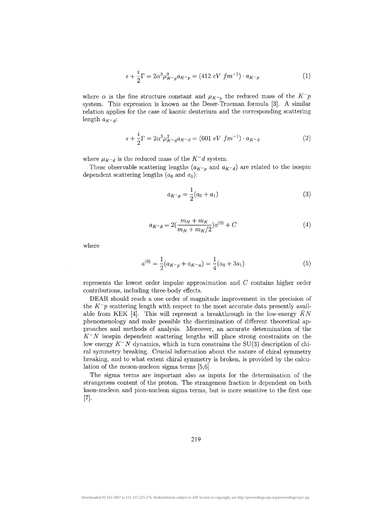$$
\epsilon + \frac{i}{2}\Gamma = 2\alpha^3 \mu_{K^-p}^2 a_{K^-p} = (412 \ eV \ fm^{-1}) \cdot a_{K^-p} \tag{1}
$$

where  $\alpha$  is the fine structure constant and  $\mu_{K^-p}$  the reduced mass of the  $K^-p$ system. This expression is known as the Deser-Trueman formula [3]. A similar relation applies for the case of kaonic deuterium and the corresponding scattering length  $a_{K-d}$ :

$$
\epsilon + \frac{i}{2}\Gamma = 2\alpha^3 \mu_{K-d}^2 a_{K-d} = (601 \text{ eV } fm^{-1}) \cdot a_{K-d} \tag{2}
$$

where  $\mu_{K-d}$  is the reduced mass of the  $K-d$  system.

These observable scattering lengths  $(a_{K-p}$  and  $a_{K-q}$  are related to the isospin dependent scattering lengths  $(a_0 \text{ and } a_1)$ :

$$
a_{K^-p} = \frac{1}{2}(a_0 + a_1) \tag{3}
$$

$$
a_{K^-d} = 2\left(\frac{m_N + m_K}{m_N + m_K/2}\right)a^{(0)} + C\tag{4}
$$

where

$$
a^{(0)} = \frac{1}{2}(a_{K^-p} + a_{K^-n}) = \frac{1}{4}(a_0 + 3a_1)
$$
\n(5)

represents the lowest order impulse approximation and *C* contains higher order contributions, including three-body effects.

DEAR should reach a one order of magnitude improvement in the precision of the  $K^-p$  scattering length with respect to the most accurate data presently available from KEK [4]. This will represent a breakthrough in the low-energy  $\bar{K}N$ phenomenology and make possible the discrimination of different theoretical approaches and methods of analysis. Moreover, an accurate determination of the *K~N* isospin dependent scattering lengths will place strong constraints on the low energy  $K^-N$  dynamics, which in turn constrains the SU(3) description of chiral symmetry breaking. Crucial information about the nature of chiral symmetry breaking, and to what extent chiral symmetry is broken, is provided by the calculation of the meson-nucleon sigma terms [5,6].

The sigma terms are important also as inputs for the determination of the strangeness content of the proton. The strangeness fraction is dependent on both kaon-nucleon and pion-nucleon sigma terms, but is more sensitive to the first one [7]-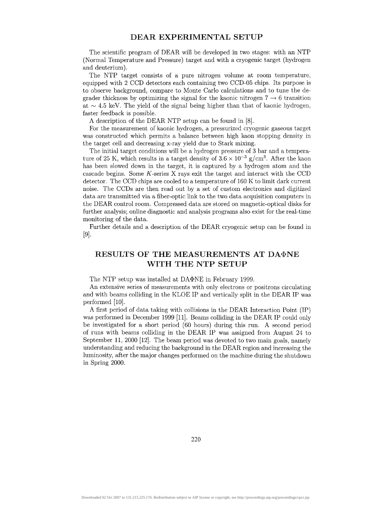#### **DEAR EXPERIMENTAL SETUP**

The scientific program of DEAR will be developed in two stages: with an NTP (Normal Temperature and Pressure) target and with a cryogenic target (hydrogen and deuterium).

The NTP target consists of a pure nitrogen volume at room temperature, equipped with 2 CCD detectors each containing two CCD-05 chips. Its purpose is to observe background, compare to Monte Carlo calculations and to tune the degrader thickness by optimizing the signal for the kaonic nitrogen  $7 \rightarrow 6$  transition at  $\sim$  4.5 keV. The yield of the signal being higher than that of kaonic hydrogen, faster feedback is possible.

A description of the DEAR NTP setup can be found in [8].

For the measurement of kaonic hydrogen, a pressurized cryogenic gaseous target was constructed which permits a balance between high kaon stopping density in the target cell and decreasing x-ray yield due to Stark mixing.

The initial target conditions will be a hydrogen pressure of 3 bar and a temperature of 25 K, which results in a target density of  $3.6 \times 10^{-3}$  g/cm<sup>3</sup>. After the kaon has been slowed down in the target, it is captured by a hydrogen atom and the cascade begins. Some  $K$ -series X rays exit the target and interact with the CCD detector. The CCD chips are cooled to a temperature of 160 K to limit dark current noise. The CCDs are then read out by a set of custom electronics and digitized data are transmitted via a fiber-optic link to the two data acquisition computers in the DEAR control room. Compressed data are stored on magnetic-optical disks for further analysis; online diagnostic and analysis programs also exist for the real-time monitoring of the data.

Further details and a description of the DEAR cryogenic setup can be found in [9].

## **RESULTS OF THE** MEASUREMENTS **AT DA\$NE WITH THE NTP SETUP**

The NTP setup was installed at DA $\Phi$ NE in February 1999.

An extensive series of measurements with only electrons or positrons circulating and with beams colliding in the KLOE IP and vertically split in the DEAR IP was performed [10].

A first period of data taking with collisions in the DEAR Interaction Point (IP) was performed in December 1999 [11]. Beams colliding in the DEAR IP could only be investigated for a short period (60 hours) during this run. A second period of runs with beams colliding in the DEAR IP was assigned from August 24 to September 11, 2000 [12]. The beam period was devoted to two main goals, namely understanding and reducing the background in the DEAR region and increasing the luminosity, after the major changes performed on the machine during the shutdown in Spring 2000.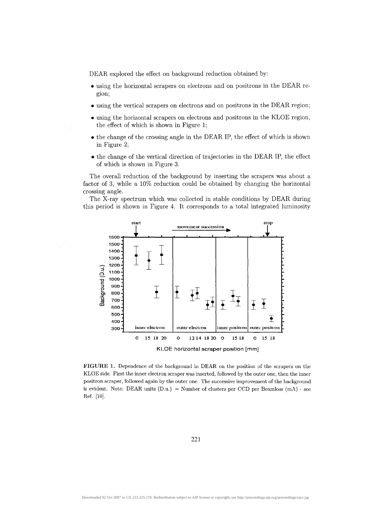DEAR explored the effect on background reduction obtained by:

- using the horizontal scrapers on electrons and on positrons in the DEAR region;
- using the vertical scrapers on electrons and on positrons in the DEAR region;
- using the horizontal scrapers on electrons and positrons in the KLOE region, the effect of which is shown in Figure 1;
- the change of the crossing angle in the DEAR IP, the effect of which is shown in Figure 2;
- the change of the vertical direction of trajectories in the DEAR IP, the effect of which is shown in Figure 3.

The overall reduction of the background by inserting the scrapers was about a factor of 3, while a 10% reduction could be obtained by changing the horizontal crossing angle.

The X-ray spectrum which was collected in stable conditions by DEAR during this period is shown in Figure 4. It corresponds to a total integrated luminosity



**FIGURE 1.** Dependence of the background in DEAR on the position of the scrapers on the KLOE side. First the inner electron scraper was inserted, followed by the outer one, then the inner positron scraper, followed again by the outer one. The successive improvement of the background is evident. Note: DEAR units  $(D.u.)$  = Number of clusters per CCD per Beamloss  $(mA)$  - see Ref. [10].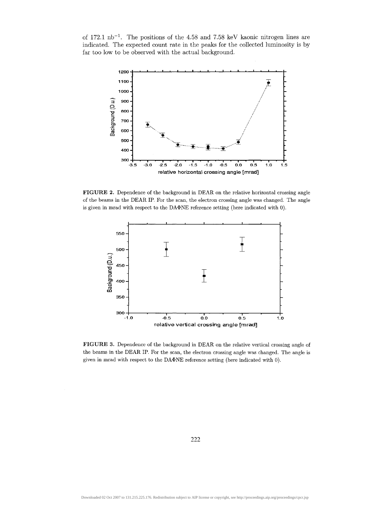of  $172.1 \text{ nb}^{-1}$ . The positions of the 4.58 and 7.58 keV kaonic nitrogen lines are indicated. The expected count rate in the peaks for the collected luminosity is by far too low to be observed with the actual background.



**FIGURE 2.** Dependence of the background in DEAR on the relative horizontal crossing angle of the beams in the DEAR IP. For the scan, the electron crossing angle was changed. The angle is given in mrad with respect to the DA $\Phi$ NE reference setting (here indicated with 0).



**FIGURE 3.** Dependence of the background in DEAR on the relative vertical crossing angle of the beams in the DEAR IP. For the scan, the electron crossing angle was changed. The angle is given in mrad with respect to the DA $\Phi$ NE reference setting (here indicated with 0).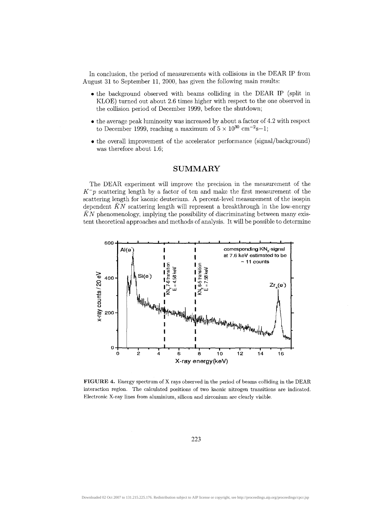In conclusion, the period of measurements with collisions in the DEAR IP from August 31 to September 11, 2000, has given the following main results:

- the background observed with beams colliding in the DEAR IP (split in KLOE) turned out about 2.6 times higher with respect to the one observed in the collision period of December 1999, before the shutdown;
- the average peak luminosity was increased by about a factor of 4.2 with respect to December 1999, reaching a maximum of  $5 \times 10^{30}$  cm<sup>-2</sup>s-1;
- the overall improvement of the accelerator performance (signal/background) was therefore about 1.6;

#### SUMMARY

The DEAR experiment will improve the precision in the measurement of the *K~p* scattering length by a factor of ten and make the first measurement of the scattering length for kaonic deuterium. A percent-level measurement of the isospin dependent *KN* scattering length will represent a breakthrough in the low-energy *KN* phenomenology, implying the possibility of discriminating between many existent theoretical approaches and methods of analysis. It will be possible to determine



**FIGURE 4.** Energy spectrum of X rays observed in the period of beams colliding in the DEAR interaction region. The calculated positions of two kaonic nitrogen transitions are indicated. Electronic X-ray lines from aluminium, silicon and zirconium are clearly visible.